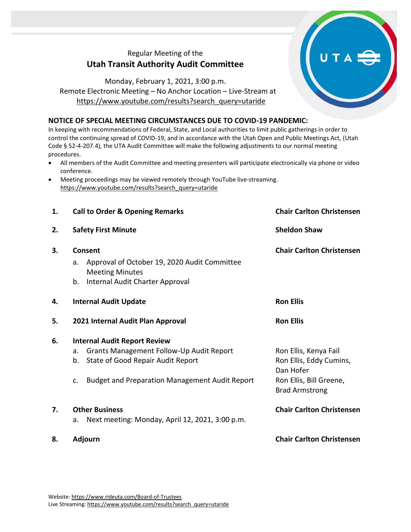## Regular Meeting of the **Utah Transit Authority Audit Committee**

## Monday, February 1, 2021, 3:00 p.m. Remote Electronic Meeting – No Anchor Location – Live-Stream at [https://www.youtube.com/results?search\\_query=utaride](https://www.youtube.com/results?search_query=utaride)

## **NOTICE OF SPECIAL MEETING CIRCUMSTANCES DUE TO COVID-19 PANDEMIC:**

In keeping with recommendations of Federal, State, and Local authorities to limit public gatherings in order to control the continuing spread of COVID-19, and in accordance with the Utah Open and Public Meetings Act, (Utah Code § 52-4-207.4), the UTA Audit Committee will make the following adjustments to our normal meeting procedures.

- All members of the Audit Committee and meeting presenters will participate electronically via phone or video conference.
- Meeting proceedings may be viewed remotely through YouTube live-streaming. [https://www.youtube.com/results?search\\_query=utaride](https://www.youtube.com/results?search_query=utaride)

| 1. | <b>Call to Order &amp; Opening Remarks</b>                                                                                       | <b>Chair Carlton Christensen</b>                              |
|----|----------------------------------------------------------------------------------------------------------------------------------|---------------------------------------------------------------|
| 2. | <b>Safety First Minute</b>                                                                                                       | <b>Sheldon Shaw</b>                                           |
| 3. | Consent<br>Approval of October 19, 2020 Audit Committee<br>a.<br><b>Meeting Minutes</b><br>b.<br>Internal Audit Charter Approval | <b>Chair Carlton Christensen</b>                              |
| 4. | <b>Internal Audit Update</b>                                                                                                     | <b>Ron Ellis</b>                                              |
| 5. | 2021 Internal Audit Plan Approval                                                                                                | <b>Ron Ellis</b>                                              |
| 6. | <b>Internal Audit Report Review</b>                                                                                              |                                                               |
|    | <b>Grants Management Follow-Up Audit Report</b><br>a.<br>State of Good Repair Audit Report<br>b.                                 | Ron Ellis, Kenya Fail<br>Ron Ellis, Eddy Cumins,<br>Dan Hofer |
|    | <b>Budget and Preparation Management Audit Report</b><br>C.                                                                      | Ron Ellis, Bill Greene,<br><b>Brad Armstrong</b>              |
| 7. | <b>Other Business</b><br>Next meeting: Monday, April 12, 2021, 3:00 p.m.<br>a.                                                   | <b>Chair Carlton Christensen</b>                              |
| 8. | <b>Adjourn</b>                                                                                                                   | <b>Chair Carlton Christensen</b>                              |